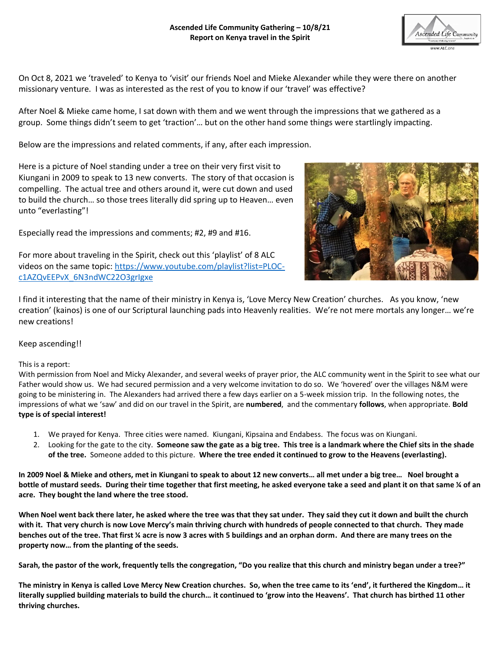

On Oct 8, 2021 we 'traveled' to Kenya to 'visit' our friends Noel and Mieke Alexander while they were there on another missionary venture. I was as interested as the rest of you to know if our 'travel' was effective?

After Noel & Mieke came home, I sat down with them and we went through the impressions that we gathered as a group. Some things didn't seem to get 'traction'… but on the other hand some things were startlingly impacting.

Below are the impressions and related comments, if any, after each impression.

Here is a picture of Noel standing under a tree on their very first visit to Kiungani in 2009 to speak to 13 new converts. The story of that occasion is compelling. The actual tree and others around it, were cut down and used to build the church… so those trees literally did spring up to Heaven… even unto "everlasting"!

Especially read the impressions and comments; #2, #9 and #16.

For more about traveling in the Spirit, check out this 'playlist' of 8 ALC videos on the same topic: [https://www.youtube.com/playlist?list=PLOC](https://www.youtube.com/playlist?list=PLOC-c1AZQvEEPvX_6N3ndWC22O3grIgxe)[c1AZQvEEPvX\\_6N3ndWC22O3grIgxe](https://www.youtube.com/playlist?list=PLOC-c1AZQvEEPvX_6N3ndWC22O3grIgxe)



I find it interesting that the name of their ministry in Kenya is, 'Love Mercy New Creation' churches. As you know, 'new creation' (kainos) is one of our Scriptural launching pads into Heavenly realities. We're not mere mortals any longer… we're new creations!

## Keep ascending!!

## This is a report:

With permission from Noel and Micky Alexander, and several weeks of prayer prior, the ALC community went in the Spirit to see what our Father would show us. We had secured permission and a very welcome invitation to do so. We 'hovered' over the villages N&M were going to be ministering in. The Alexanders had arrived there a few days earlier on a 5-week mission trip. In the following notes, the impressions of what we 'saw' and did on our travel in the Spirit, are **numbered**, and the commentary **follows**, when appropriate. **Bold type is of special interest!**

- 1. We prayed for Kenya. Three cities were named. Kiungani, Kipsaina and Endabess. The focus was on Kiungani.
- 2. Looking for the gate to the city. **Someone saw the gate as a big tree. This tree is a landmark where the Chief sits in the shade of the tree.** Someone added to this picture. **Where the tree ended it continued to grow to the Heavens (everlasting).**

**In 2009 Noel & Mieke and others, met in Kiungani to speak to about 12 new converts… all met under a big tree… Noel brought a bottle of mustard seeds. During their time together that first meeting, he asked everyone take a seed and plant it on that same ¼ of an acre. They bought the land where the tree stood.**

**When Noel went back there later, he asked where the tree was that they sat under. They said they cut it down and built the church with it. That very church is now Love Mercy's main thriving church with hundreds of people connected to that church. They made benches out of the tree. That first ¼ acre is now 3 acres with 5 buildings and an orphan dorm. And there are many trees on the property now… from the planting of the seeds.** 

**Sarah, the pastor of the work, frequently tells the congregation, "Do you realize that this church and ministry began under a tree?"**

**The ministry in Kenya is called Love Mercy New Creation churches. So, when the tree came to its 'end', it furthered the Kingdom… it literally supplied building materials to build the church… it continued to 'grow into the Heavens'. That church has birthed 11 other thriving churches.**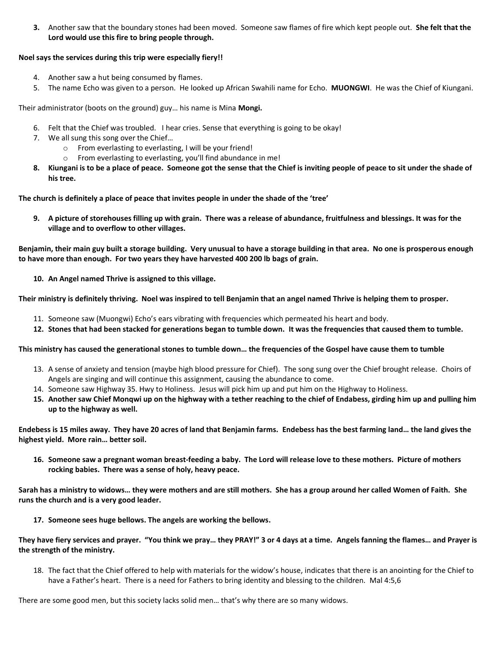**3.** Another saw that the boundary stones had been moved. Someone saw flames of fire which kept people out. **She felt that the Lord would use this fire to bring people through.**

## **Noel says the services during this trip were especially fiery!!**

- 4. Another saw a hut being consumed by flames.
- 5. The name Echo was given to a person. He looked up African Swahili name for Echo. **MUONGWI**. He was the Chief of Kiungani.

Their administrator (boots on the ground) guy… his name is Mina **Mongi.**

- 6. Felt that the Chief was troubled. I hear cries. Sense that everything is going to be okay!
- 7. We all sung this song over the Chief…
	- o From everlasting to everlasting, I will be your friend!
	- o From everlasting to everlasting, you'll find abundance in me!
- **8. Kiungani is to be a place of peace. Someone got the sense that the Chief is inviting people of peace to sit under the shade of his tree.**

**The church is definitely a place of peace that invites people in under the shade of the 'tree'**

**9. A picture of storehouses filling up with grain. There was a release of abundance, fruitfulness and blessings. It was for the village and to overflow to other villages.**

**Benjamin, their main guy built a storage building. Very unusual to have a storage building in that area. No one is prosperous enough to have more than enough. For two years they have harvested 400 200 lb bags of grain.** 

**10. An Angel named Thrive is assigned to this village.**

**Their ministry is definitely thriving. Noel was inspired to tell Benjamin that an angel named Thrive is helping them to prosper.** 

- 11. Someone saw (Muongwi) Echo's ears vibrating with frequencies which permeated his heart and body.
- **12. Stones that had been stacked for generations began to tumble down. It was the frequencies that caused them to tumble.**

## **This ministry has caused the generational stones to tumble down… the frequencies of the Gospel have cause them to tumble**

- 13. A sense of anxiety and tension (maybe high blood pressure for Chief). The song sung over the Chief brought release. Choirs of Angels are singing and will continue this assignment, causing the abundance to come.
- 14. Someone saw Highway 35. Hwy to Holiness. Jesus will pick him up and put him on the Highway to Holiness.
- **15. Another saw Chief Monqwi up on the highway with a tether reaching to the chief of Endabess, girding him up and pulling him up to the highway as well.**

**Endebess is 15 miles away. They have 20 acres of land that Benjamin farms. Endebess has the best farming land… the land gives the highest yield. More rain… better soil.**

**16. Someone saw a pregnant woman breast-feeding a baby. The Lord will release love to these mothers. Picture of mothers rocking babies. There was a sense of holy, heavy peace.**

**Sarah has a ministry to widows… they were mothers and are still mothers. She has a group around her called Women of Faith. She runs the church and is a very good leader.** 

**17. Someone sees huge bellows. The angels are working the bellows.**

**They have fiery services and prayer. "You think we pray… they PRAY!" 3 or 4 days at a time. Angels fanning the flames… and Prayer is the strength of the ministry.** 

18. The fact that the Chief offered to help with materials for the widow's house, indicates that there is an anointing for the Chief to have a Father's heart. There is a need for Fathers to bring identity and blessing to the children. Mal 4:5,6

There are some good men, but this society lacks solid men… that's why there are so many widows.